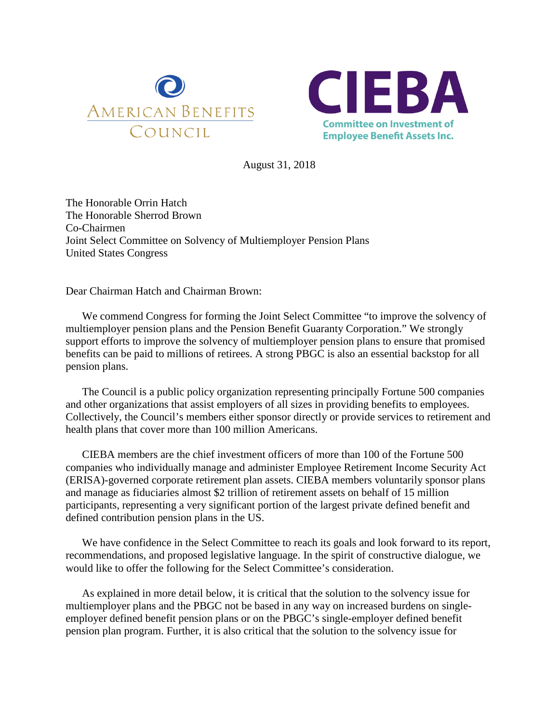



August 31, 2018

The Honorable Orrin Hatch The Honorable Sherrod Brown Co-Chairmen Joint Select Committee on Solvency of Multiemployer Pension Plans United States Congress

Dear Chairman Hatch and Chairman Brown:

We commend Congress for forming the Joint Select Committee "to improve the solvency of multiemployer pension plans and the Pension Benefit Guaranty Corporation." We strongly support efforts to improve the solvency of multiemployer pension plans to ensure that promised benefits can be paid to millions of retirees. A strong PBGC is also an essential backstop for all pension plans.

The Council is a public policy organization representing principally Fortune 500 companies and other organizations that assist employers of all sizes in providing benefits to employees. Collectively, the Council's members either sponsor directly or provide services to retirement and health plans that cover more than 100 million Americans.

CIEBA members are the chief investment officers of more than 100 of the Fortune 500 companies who individually manage and administer Employee Retirement Income Security Act (ERISA)-governed corporate retirement plan assets. CIEBA members voluntarily sponsor plans and manage as fiduciaries almost \$2 trillion of retirement assets on behalf of 15 million participants, representing a very significant portion of the largest private defined benefit and defined contribution pension plans in the US.

We have confidence in the Select Committee to reach its goals and look forward to its report, recommendations, and proposed legislative language. In the spirit of constructive dialogue, we would like to offer the following for the Select Committee's consideration.

As explained in more detail below, it is critical that the solution to the solvency issue for multiemployer plans and the PBGC not be based in any way on increased burdens on singleemployer defined benefit pension plans or on the PBGC's single-employer defined benefit pension plan program. Further, it is also critical that the solution to the solvency issue for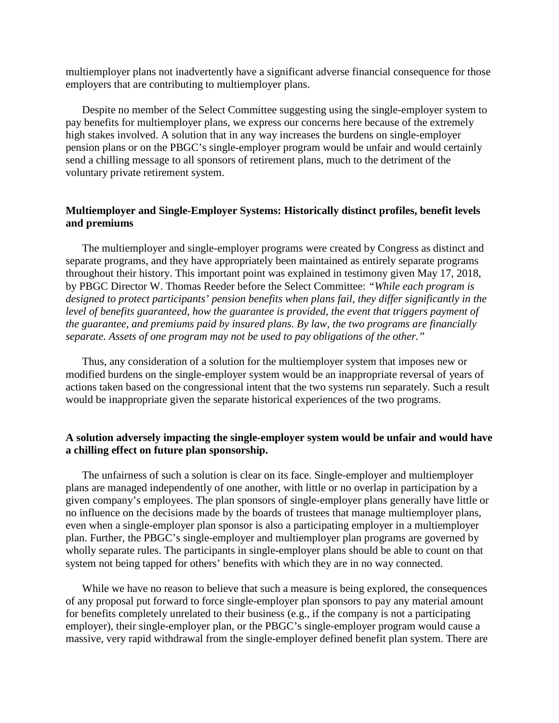multiemployer plans not inadvertently have a significant adverse financial consequence for those employers that are contributing to multiemployer plans.

Despite no member of the Select Committee suggesting using the single-employer system to pay benefits for multiemployer plans, we express our concerns here because of the extremely high stakes involved. A solution that in any way increases the burdens on single-employer pension plans or on the PBGC's single-employer program would be unfair and would certainly send a chilling message to all sponsors of retirement plans, much to the detriment of the voluntary private retirement system.

## **Multiemployer and Single-Employer Systems: Historically distinct profiles, benefit levels and premiums**

The multiemployer and single-employer programs were created by Congress as distinct and separate programs, and they have appropriately been maintained as entirely separate programs throughout their history. This important point was explained in testimony given May 17, 2018, by PBGC Director W. Thomas Reeder before the Select Committee: *"While each program is designed to protect participants' pension benefits when plans fail, they differ significantly in the level of benefits guaranteed, how the guarantee is provided, the event that triggers payment of the guarantee, and premiums paid by insured plans. By law, the two programs are financially separate. Assets of one program may not be used to pay obligations of the other."*

Thus, any consideration of a solution for the multiemployer system that imposes new or modified burdens on the single-employer system would be an inappropriate reversal of years of actions taken based on the congressional intent that the two systems run separately. Such a result would be inappropriate given the separate historical experiences of the two programs.

## **A solution adversely impacting the single-employer system would be unfair and would have a chilling effect on future plan sponsorship.**

The unfairness of such a solution is clear on its face. Single-employer and multiemployer plans are managed independently of one another, with little or no overlap in participation by a given company's employees. The plan sponsors of single-employer plans generally have little or no influence on the decisions made by the boards of trustees that manage multiemployer plans, even when a single-employer plan sponsor is also a participating employer in a multiemployer plan. Further, the PBGC's single-employer and multiemployer plan programs are governed by wholly separate rules. The participants in single-employer plans should be able to count on that system not being tapped for others' benefits with which they are in no way connected.

While we have no reason to believe that such a measure is being explored, the consequences of any proposal put forward to force single-employer plan sponsors to pay any material amount for benefits completely unrelated to their business (e.g., if the company is not a participating employer), their single-employer plan, or the PBGC's single-employer program would cause a massive, very rapid withdrawal from the single-employer defined benefit plan system. There are